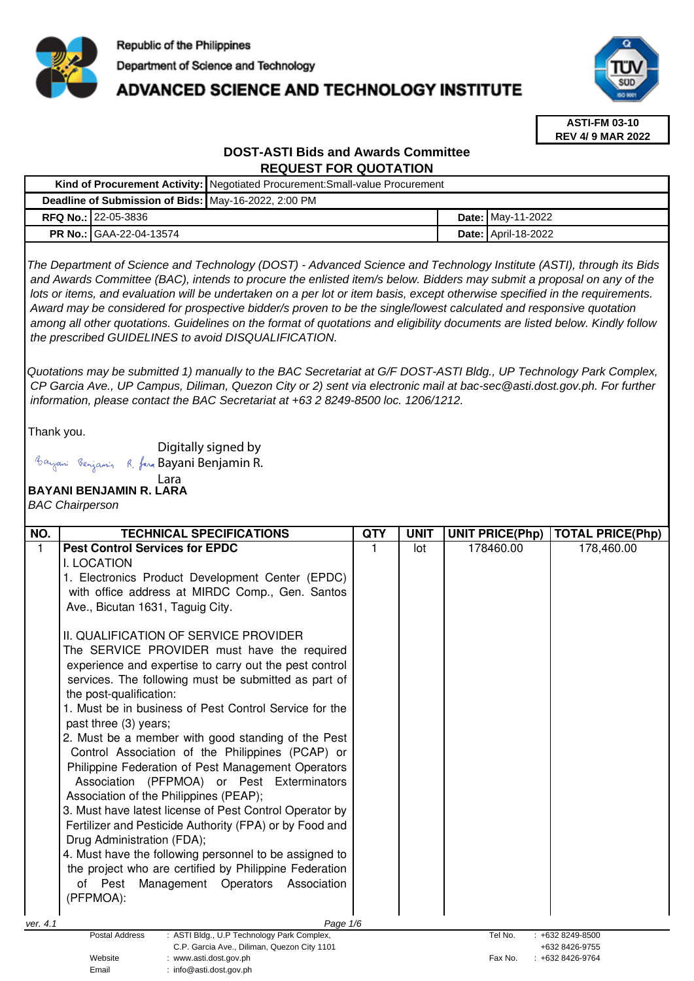

# **ADVANCED SCIENCE AND TECHNOLOGY INSTITUTE**



**ASTI-FM 03-10 REV 4/ 9 MAR 2022**

# **DOST-ASTI Bids and Awards Committee REQUEST FOR QUOTATION**

|                                                      | Kind of Procurement Activity: Negotiated Procurement: Small-value Procurement |                            |
|------------------------------------------------------|-------------------------------------------------------------------------------|----------------------------|
| Deadline of Submission of Bids: May-16-2022, 2:00 PM |                                                                               |                            |
| <b>RFQ No.: 22-05-3836</b>                           |                                                                               | <b>Date: May-11-2022</b>   |
| <b>PR No.: GAA-22-04-13574</b>                       |                                                                               | <b>Date: April-18-2022</b> |

The Department of Science and Technology (DOST) - Advanced Science and Technology Institute (ASTI), through its Bids and Awards Committee (BAC), intends to procure the enlisted item/s below. Bidders may submit a proposal on any of the lots or items, and evaluation will be undertaken on a per lot or item basis, except otherwise specified in the requirements. Award may be considered for prospective bidder/s proven to be the single/lowest calculated and responsive quotation among all other quotations. Guidelines on the format of quotations and eligibility documents are listed below. Kindly follow the prescribed GUIDELINES to avoid DISQUALIFICATION.

Quotations may be submitted 1) manually to the BAC Secretariat at G/F DOST-ASTI Bldg., UP Technology Park Complex, CP Garcia Ave., UP Campus, Diliman, Quezon City or 2) sent via electronic mail at bac-sec@asti.dost.gov.ph. For further information, please contact the BAC Secretariat at +63 2 8249-8500 loc. 1206/1212.

Thank you.

Digitally signed by

Email : info@asti.dost.gov.ph

## Bayani Benjamin R. fan Bayani Benjamin R.

#### **BAYANI BENJAMIN R. LARA**  Lara

# BAC Chairperson

| NO.                                                                                              | <b>TECHNICAL SPECIFICATIONS</b>                         | <b>QTY</b> | <b>UNIT</b> | <b>UNIT PRICE(Php)</b> | <b>TOTAL PRICE(Php)</b>          |  |
|--------------------------------------------------------------------------------------------------|---------------------------------------------------------|------------|-------------|------------------------|----------------------------------|--|
| 1.                                                                                               | <b>Pest Control Services for EPDC</b>                   | 1          | lot         | 178460.00              | 178,460.00                       |  |
|                                                                                                  | I. LOCATION                                             |            |             |                        |                                  |  |
|                                                                                                  | 1. Electronics Product Development Center (EPDC)        |            |             |                        |                                  |  |
|                                                                                                  | with office address at MIRDC Comp., Gen. Santos         |            |             |                        |                                  |  |
|                                                                                                  | Ave., Bicutan 1631, Taguig City.                        |            |             |                        |                                  |  |
|                                                                                                  | II. QUALIFICATION OF SERVICE PROVIDER                   |            |             |                        |                                  |  |
|                                                                                                  | The SERVICE PROVIDER must have the required             |            |             |                        |                                  |  |
|                                                                                                  | experience and expertise to carry out the pest control  |            |             |                        |                                  |  |
|                                                                                                  | services. The following must be submitted as part of    |            |             |                        |                                  |  |
|                                                                                                  | the post-qualification:                                 |            |             |                        |                                  |  |
|                                                                                                  | 1. Must be in business of Pest Control Service for the  |            |             |                        |                                  |  |
|                                                                                                  | past three (3) years;                                   |            |             |                        |                                  |  |
|                                                                                                  | 2. Must be a member with good standing of the Pest      |            |             |                        |                                  |  |
|                                                                                                  | Control Association of the Philippines (PCAP) or        |            |             |                        |                                  |  |
|                                                                                                  | Philippine Federation of Pest Management Operators      |            |             |                        |                                  |  |
|                                                                                                  | Association (PFPMOA) or Pest Exterminators              |            |             |                        |                                  |  |
|                                                                                                  | Association of the Philippines (PEAP);                  |            |             |                        |                                  |  |
|                                                                                                  | 3. Must have latest license of Pest Control Operator by |            |             |                        |                                  |  |
|                                                                                                  | Fertilizer and Pesticide Authority (FPA) or by Food and |            |             |                        |                                  |  |
|                                                                                                  | Drug Administration (FDA);                              |            |             |                        |                                  |  |
|                                                                                                  | 4. Must have the following personnel to be assigned to  |            |             |                        |                                  |  |
|                                                                                                  | the project who are certified by Philippine Federation  |            |             |                        |                                  |  |
|                                                                                                  | Management Operators<br>of Pest<br>Association          |            |             |                        |                                  |  |
|                                                                                                  | (PFPMOA):                                               |            |             |                        |                                  |  |
| ver. 4.1                                                                                         | Page 1/6                                                |            |             |                        |                                  |  |
| <b>Postal Address</b><br>: ASTI Bldg., U.P Technology Park Complex,<br>Tel No.<br>+632 8249-8500 |                                                         |            |             |                        |                                  |  |
| C.P. Garcia Ave., Diliman, Quezon City 1101<br>Website<br>: www.asti.dost.gov.ph                 |                                                         |            |             | Fax No.                | +632 8426-9755<br>+632 8426-9764 |  |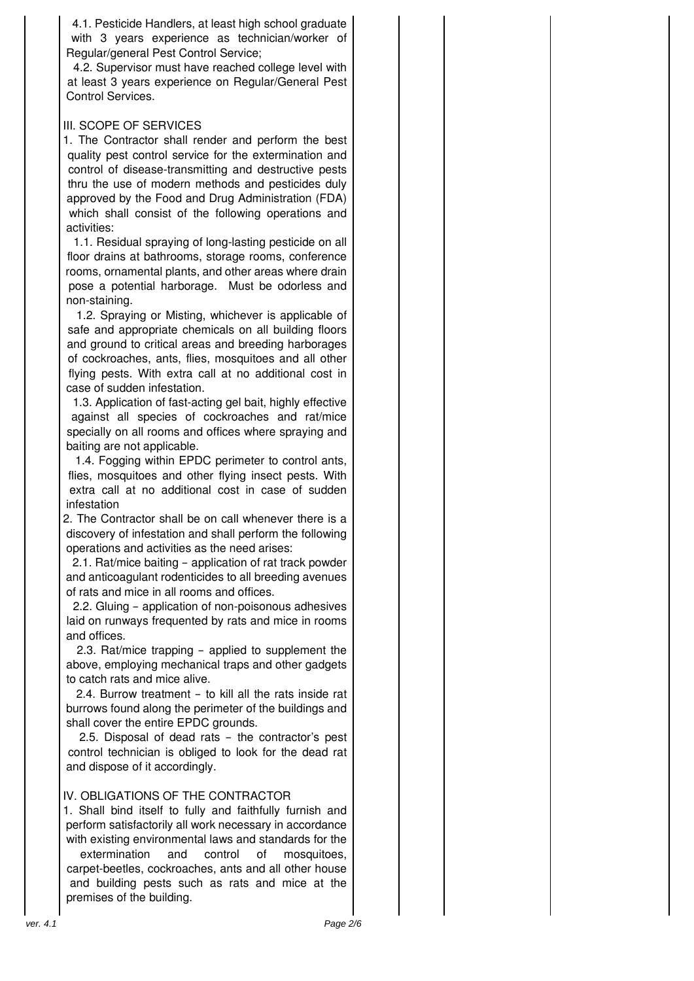4.1. Pesticide Handlers, at least high school graduate with 3 years experience as technician/worker of Regular/general Pest Control Service;

4.2. Supervisor must have reached college level with at least 3 years experience on Regular/General Pest Control Services.

## III. SCOPE OF SERVICES

1. The Contractor shall render and perform the best quality pest control service for the extermination and control of disease-transmitting and destructive pests thru the use of modern methods and pesticides duly approved by the Food and Drug Administration (FDA) which shall consist of the following operations and activities:

1.1. Residual spraying of long-lasting pesticide on all floor drains at bathrooms, storage rooms, conference rooms, ornamental plants, and other areas where drain pose a potential harborage. Must be odorless and non-staining.

1.2. Spraying or Misting, whichever is applicable of safe and appropriate chemicals on all building floors and ground to critical areas and breeding harborages of cockroaches, ants, flies, mosquitoes and all other flying pests. With extra call at no additional cost in case of sudden infestation.

1.3. Application of fast-acting gel bait, highly effective against all species of cockroaches and rat/mice specially on all rooms and offices where spraying and baiting are not applicable.

1.4. Fogging within EPDC perimeter to control ants, flies, mosquitoes and other flying insect pests. With extra call at no additional cost in case of sudden infestation

2. The Contractor shall be on call whenever there is a discovery of infestation and shall perform the following operations and activities as the need arises:

2.1. Rat/mice baiting – application of rat track powder and anticoagulant rodenticides to all breeding avenues of rats and mice in all rooms and offices.

2.2. Gluing – application of non-poisonous adhesives laid on runways frequented by rats and mice in rooms and offices.

2.3. Rat/mice trapping – applied to supplement the above, employing mechanical traps and other gadgets to catch rats and mice alive.

2.4. Burrow treatment – to kill all the rats inside rat burrows found along the perimeter of the buildings and shall cover the entire EPDC grounds.

2.5. Disposal of dead rats – the contractor's pest control technician is obliged to look for the dead rat and dispose of it accordingly.

# IV. OBLIGATIONS OF THE CONTRACTOR

1. Shall bind itself to fully and faithfully furnish and perform satisfactorily all work necessary in accordance with existing environmental laws and standards for the

extermination and control of mosquitoes, carpet-beetles, cockroaches, ants and all other house and building pests such as rats and mice at the premises of the building.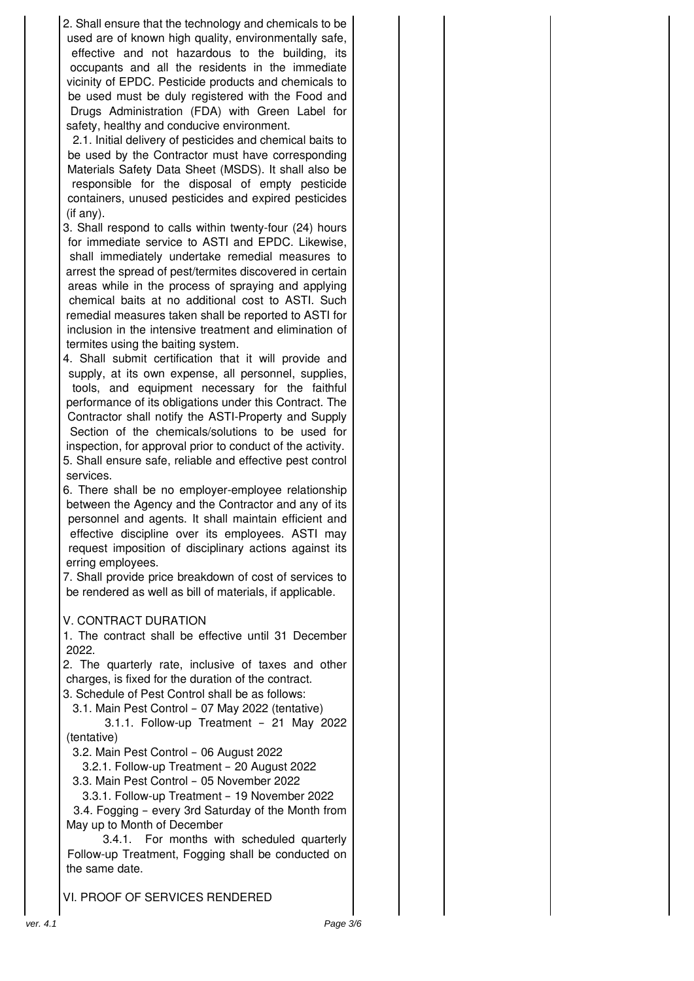2. Shall ensure that the technology and chemicals to be used are of known high quality, environmentally safe, effective and not hazardous to the building, its occupants and all the residents in the immediate vicinity of EPDC. Pesticide products and chemicals to be used must be duly registered with the Food and Drugs Administration (FDA) with Green Label for safety, healthy and conducive environment.

2.1. Initial delivery of pesticides and chemical baits to be used by the Contractor must have corresponding Materials Safety Data Sheet (MSDS). It shall also be responsible for the disposal of empty pesticide containers, unused pesticides and expired pesticides (if any).

3. Shall respond to calls within twenty-four (24) hours for immediate service to ASTI and EPDC. Likewise, shall immediately undertake remedial measures to arrest the spread of pest/termites discovered in certain areas while in the process of spraying and applying chemical baits at no additional cost to ASTI. Such remedial measures taken shall be reported to ASTI for inclusion in the intensive treatment and elimination of termites using the baiting system.

4. Shall submit certification that it will provide and supply, at its own expense, all personnel, supplies, tools, and equipment necessary for the faithful performance of its obligations under this Contract. The Contractor shall notify the ASTI-Property and Supply Section of the chemicals/solutions to be used for inspection, for approval prior to conduct of the activity. 5. Shall ensure safe, reliable and effective pest control services.

6. There shall be no employer-employee relationship between the Agency and the Contractor and any of its personnel and agents. It shall maintain efficient and effective discipline over its employees. ASTI may request imposition of disciplinary actions against its erring employees.

7. Shall provide price breakdown of cost of services to be rendered as well as bill of materials, if applicable.

## V. CONTRACT DURATION

1. The contract shall be effective until 31 December 2022.

2. The quarterly rate, inclusive of taxes and other charges, is fixed for the duration of the contract. 3. Schedule of Pest Control shall be as follows:

3.1. Main Pest Control – 07 May 2022 (tentative)

3.1.1. Follow-up Treatment – 21 May 2022 (tentative)

3.2. Main Pest Control – 06 August 2022

3.2.1. Follow-up Treatment – 20 August 2022

3.3. Main Pest Control – 05 November 2022

 3.3.1. Follow-up Treatment – 19 November 2022 3.4. Fogging – every 3rd Saturday of the Month from May up to Month of December

3.4.1. For months with scheduled quarterly Follow-up Treatment, Fogging shall be conducted on the same date.

VI. PROOF OF SERVICES RENDERED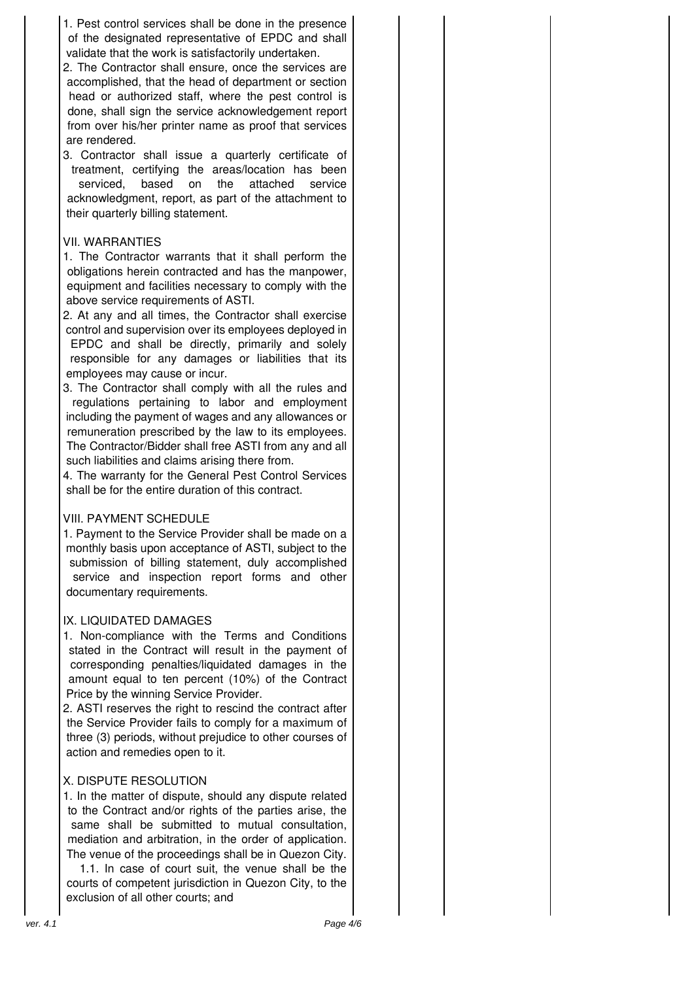1. Pest control services shall be done in the presence of the designated representative of EPDC and shall validate that the work is satisfactorily undertaken.

- 2. The Contractor shall ensure, once the services are accomplished, that the head of department or section head or authorized staff, where the pest control is done, shall sign the service acknowledgement report from over his/her printer name as proof that services are rendered.
- 3. Contractor shall issue a quarterly certificate of treatment, certifying the areas/location has been serviced, based on the attached service acknowledgment, report, as part of the attachment to their quarterly billing statement.

## VII. WARRANTIES

- 1. The Contractor warrants that it shall perform the obligations herein contracted and has the manpower, equipment and facilities necessary to comply with the above service requirements of ASTI.
- 2. At any and all times, the Contractor shall exercise control and supervision over its employees deployed in EPDC and shall be directly, primarily and solely responsible for any damages or liabilities that its employees may cause or incur.
- 3. The Contractor shall comply with all the rules and regulations pertaining to labor and employment including the payment of wages and any allowances or remuneration prescribed by the law to its employees. The Contractor/Bidder shall free ASTI from any and all such liabilities and claims arising there from.

4. The warranty for the General Pest Control Services shall be for the entire duration of this contract.

## VIII. PAYMENT SCHEDULE

1. Payment to the Service Provider shall be made on a monthly basis upon acceptance of ASTI, subject to the submission of billing statement, duly accomplished service and inspection report forms and other documentary requirements.

## IX. LIQUIDATED DAMAGES

1. Non-compliance with the Terms and Conditions stated in the Contract will result in the payment of corresponding penalties/liquidated damages in the amount equal to ten percent (10%) of the Contract Price by the winning Service Provider.

2. ASTI reserves the right to rescind the contract after the Service Provider fails to comply for a maximum of three (3) periods, without prejudice to other courses of action and remedies open to it.

# X. DISPUTE RESOLUTION

1. In the matter of dispute, should any dispute related to the Contract and/or rights of the parties arise, the same shall be submitted to mutual consultation, mediation and arbitration, in the order of application. The venue of the proceedings shall be in Quezon City.

1.1. In case of court suit, the venue shall be the courts of competent jurisdiction in Quezon City, to the exclusion of all other courts; and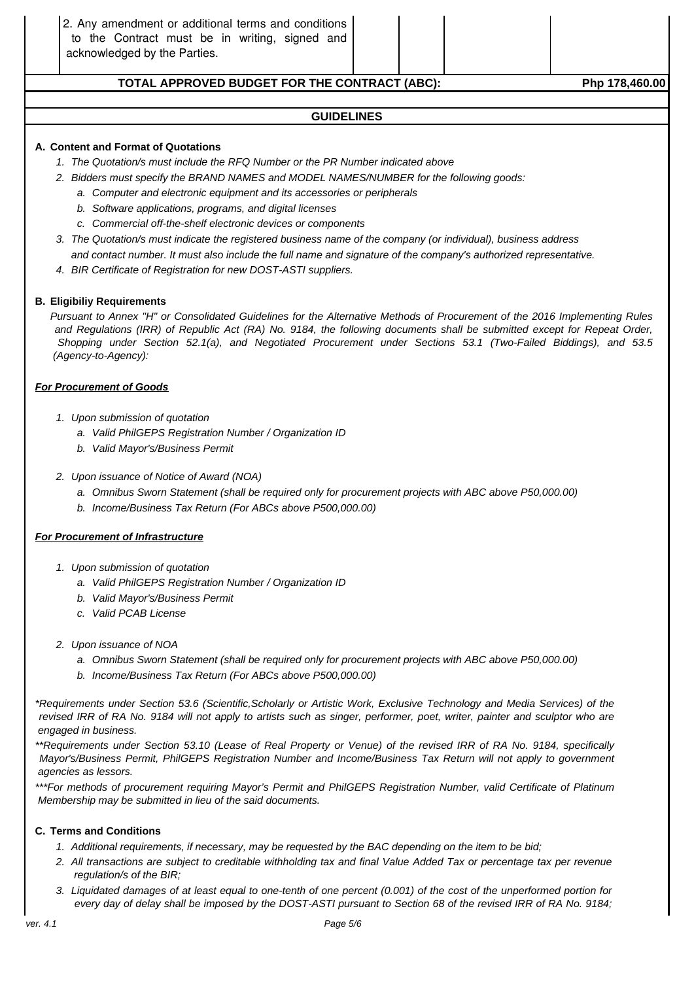## **TOTAL APPROVED BUDGET FOR THE CONTRACT (ABC): Php 178,460.00**

#### **GUIDELINES**

#### **A. Content and Format of Quotations**

- 1. The Quotation/s must include the RFQ Number or the PR Number indicated above
- 2. Bidders must specify the BRAND NAMES and MODEL NAMES/NUMBER for the following goods:
	- a. Computer and electronic equipment and its accessories or peripherals
		- b. Software applications, programs, and digital licenses
		- c. Commercial off-the-shelf electronic devices or components
- 3. The Quotation/s must indicate the registered business name of the company (or individual), business address and contact number. It must also include the full name and signature of the company's authorized representative.
- 4. BIR Certificate of Registration for new DOST-ASTI suppliers.

#### **B. Eligibiliy Requirements**

Pursuant to Annex "H" or Consolidated Guidelines for the Alternative Methods of Procurement of the 2016 Implementing Rules and Regulations (IRR) of Republic Act (RA) No. 9184, the following documents shall be submitted except for Repeat Order, Shopping under Section 52.1(a), and Negotiated Procurement under Sections 53.1 (Two-Failed Biddings), and 53.5 (Agency-to-Agency):

#### **For Procurement of Goods**

- 1. Upon submission of quotation
	- a. Valid PhilGEPS Registration Number / Organization ID
	- b. Valid Mayor's/Business Permit
- 2. Upon issuance of Notice of Award (NOA)
	- a. Omnibus Sworn Statement (shall be required only for procurement projects with ABC above P50,000.00)
	- b. Income/Business Tax Return (For ABCs above P500,000.00)

#### **For Procurement of Infrastructure**

- 1. Upon submission of quotation
	- a. Valid PhilGEPS Registration Number / Organization ID
	- b. Valid Mayor's/Business Permit
	- c. Valid PCAB License
- 2. Upon issuance of NOA
	- a. Omnibus Sworn Statement (shall be required only for procurement projects with ABC above P50,000.00)
	- b. Income/Business Tax Return (For ABCs above P500,000.00)

\*Requirements under Section 53.6 (Scientific,Scholarly or Artistic Work, Exclusive Technology and Media Services) of the revised IRR of RA No. 9184 will not apply to artists such as singer, performer, poet, writer, painter and sculptor who are engaged in business.

\*\*Requirements under Section 53.10 (Lease of Real Property or Venue) of the revised IRR of RA No. 9184, specifically Mayor's/Business Permit, PhilGEPS Registration Number and Income/Business Tax Return will not apply to government agencies as lessors.

\*\*\*For methods of procurement requiring Mayor's Permit and PhilGEPS Registration Number, valid Certificate of Platinum Membership may be submitted in lieu of the said documents.

#### **C. Terms and Conditions**

- 1. Additional requirements, if necessary, may be requested by the BAC depending on the item to be bid;
- 2. All transactions are subject to creditable withholding tax and final Value Added Tax or percentage tax per revenue regulation/s of the BIR;
- 3. Liquidated damages of at least equal to one-tenth of one percent (0.001) of the cost of the unperformed portion for every day of delay shall be imposed by the DOST-ASTI pursuant to Section 68 of the revised IRR of RA No. 9184;